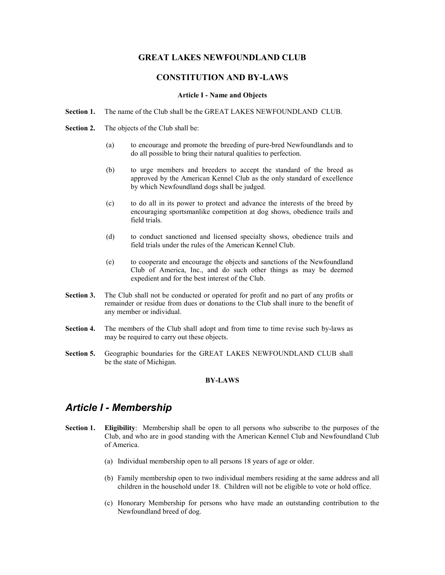# **GREAT LAKES EWFOU DLA D CLUB**

# **CO STITUTIO A D BY-LAWS**

### **Article I - ame and Objects**

- **Section 1.** The name of the Club shall be the GREAT LAKES NEWFOUNDLAND CLUB.
- **Section 2.** The objects of the Club shall be:
	- (a) to encourage and promote the breeding of pure-bred Newfoundlands and to do all possible to bring their natural qualities to perfection.
	- (b) to urge members and breeders to accept the standard of the breed as approved by the American Kennel Club as the only standard of excellence by which Newfoundland dogs shall be judged.
	- (c) to do all in its power to protect and advance the interests of the breed by encouraging sportsmanlike competition at dog shows, obedience trails and field trials.
	- (d) to conduct sanctioned and licensed specialty shows, obedience trails and field trials under the rules of the American Kennel Club.
	- (e) to cooperate and encourage the objects and sanctions of the Newfoundland Club of America, Inc., and do such other things as may be deemed expedient and for the best interest of the Club.
- **Section 3.** The Club shall not be conducted or operated for profit and no part of any profits or remainder or residue from dues or donations to the Club shall inure to the benefit of any member or individual.
- **Section 4.** The members of the Club shall adopt and from time to time revise such by-laws as may be required to carry out these objects.
- **Section 5.** Geographic boundaries for the GREAT LAKES NEWFOUNDLAND CLUB shall be the state of Michigan.

# **BY-LAWS**

# *Article I - Membership*

- **Section 1. Eligibility**: Membership shall be open to all persons who subscribe to the purposes of the Club, and who are in good standing with the American Kennel Club and Newfoundland Club of America.
	- (a) Individual membership open to all persons 18 years of age or older.
	- (b) Family membership open to two individual members residing at the same address and all children in the household under 18. Children will not be eligible to vote or hold office.
	- (c) Honorary Membership for persons who have made an outstanding contribution to the Newfoundland breed of dog.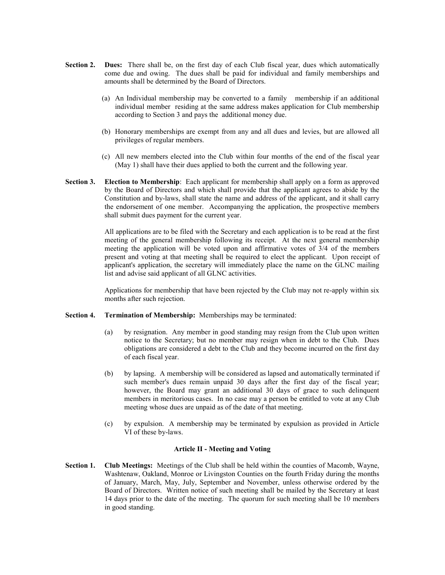- **Section 2. Dues:** There shall be, on the first day of each Club fiscal year, dues which automatically come due and owing. The dues shall be paid for individual and family memberships and amounts shall be determined by the Board of Directors.
	- (a) An Individual membership may be converted to a family membership if an additional individual member residing at the same address makes application for Club membership according to Section 3 and pays the additional money due.
	- (b) Honorary memberships are exempt from any and all dues and levies, but are allowed all privileges of regular members.
	- (c) All new members elected into the Club within four months of the end of the fiscal year (May 1) shall have their dues applied to both the current and the following year.
- **Section 3. Election to Membership**: Each applicant for membership shall apply on a form as approved by the Board of Directors and which shall provide that the applicant agrees to abide by the Constitution and by-laws, shall state the name and address of the applicant, and it shall carry the endorsement of one member. Accompanying the application, the prospective members shall submit dues payment for the current year.

 All applications are to be filed with the Secretary and each application is to be read at the first meeting of the general membership following its receipt. At the next general membership meeting the application will be voted upon and affirmative votes of 3/4 of the members present and voting at that meeting shall be required to elect the applicant. Upon receipt of applicant's application, the secretary will immediately place the name on the GLNC mailing list and advise said applicant of all GLNC activities.

 Applications for membership that have been rejected by the Club may not re-apply within six months after such rejection.

# **Section 4. Termination of Membership:** Memberships may be terminated:

- (a) by resignation. Any member in good standing may resign from the Club upon written notice to the Secretary; but no member may resign when in debt to the Club. Dues obligations are considered a debt to the Club and they become incurred on the first day of each fiscal year.
- (b) by lapsing. A membership will be considered as lapsed and automatically terminated if such member's dues remain unpaid 30 days after the first day of the fiscal year; however, the Board may grant an additional 30 days of grace to such delinquent members in meritorious cases. In no case may a person be entitled to vote at any Club meeting whose dues are unpaid as of the date of that meeting.
- (c) by expulsion. A membership may be terminated by expulsion as provided in Article VI of these by-laws.

#### **Article II - Meeting and Voting**

**Section 1. Club Meetings:** Meetings of the Club shall be held within the counties of Macomb, Wayne, Washtenaw, Oakland, Monroe or Livingston Counties on the fourth Friday during the months of January, March, May, July, September and November, unless otherwise ordered by the Board of Directors. Written notice of such meeting shall be mailed by the Secretary at least 14 days prior to the date of the meeting. The quorum for such meeting shall be 10 members in good standing.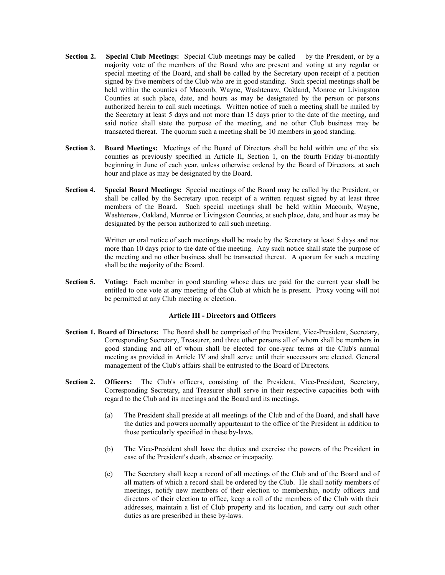- **Section 2.** Special Club Meetings: Special Club meetings may be called by the President, or by a majority vote of the members of the Board who are present and voting at any regular or special meeting of the Board, and shall be called by the Secretary upon receipt of a petition signed by five members of the Club who are in good standing. Such special meetings shall be held within the counties of Macomb, Wayne, Washtenaw, Oakland, Monroe or Livingston Counties at such place, date, and hours as may be designated by the person or persons authorized herein to call such meetings. Written notice of such a meeting shall be mailed by the Secretary at least 5 days and not more than 15 days prior to the date of the meeting, and said notice shall state the purpose of the meeting, and no other Club business may be transacted thereat. The quorum such a meeting shall be 10 members in good standing.
- **Section 3. Board Meetings:** Meetings of the Board of Directors shall be held within one of the six counties as previously specified in Article II, Section 1, on the fourth Friday bi-monthly beginning in June of each year, unless otherwise ordered by the Board of Directors, at such hour and place as may be designated by the Board.
- **Section 4. Special Board Meetings:** Special meetings of the Board may be called by the President, or shall be called by the Secretary upon receipt of a written request signed by at least three members of the Board. Such special meetings shall be held within Macomb, Wayne, Washtenaw, Oakland, Monroe or Livingston Counties, at such place, date, and hour as may be designated by the person authorized to call such meeting.

 Written or oral notice of such meetings shall be made by the Secretary at least 5 days and not more than 10 days prior to the date of the meeting. Any such notice shall state the purpose of the meeting and no other business shall be transacted thereat. A quorum for such a meeting shall be the majority of the Board.

**Section 5.** Voting: Each member in good standing whose dues are paid for the current year shall be entitled to one vote at any meeting of the Club at which he is present. Proxy voting will not be permitted at any Club meeting or election.

# **Article III - Directors and Officers**

- **Section 1. Board of Directors:** The Board shall be comprised of the President, Vice-President, Secretary, Corresponding Secretary, Treasurer, and three other persons all of whom shall be members in good standing and all of whom shall be elected for one-year terms at the Club's annual meeting as provided in Article IV and shall serve until their successors are elected. General management of the Club's affairs shall be entrusted to the Board of Directors.
- Section 2. Officers: The Club's officers, consisting of the President, Vice-President, Secretary, Corresponding Secretary, and Treasurer shall serve in their respective capacities both with regard to the Club and its meetings and the Board and its meetings.
	- (a) The President shall preside at all meetings of the Club and of the Board, and shall have the duties and powers normally appurtenant to the office of the President in addition to those particularly specified in these by-laws.
	- (b) The Vice-President shall have the duties and exercise the powers of the President in case of the President's death, absence or incapacity.
	- (c) The Secretary shall keep a record of all meetings of the Club and of the Board and of all matters of which a record shall be ordered by the Club. He shall notify members of meetings, notify new members of their election to membership, notify officers and directors of their election to office, keep a roll of the members of the Club with their addresses, maintain a list of Club property and its location, and carry out such other duties as are prescribed in these by-laws.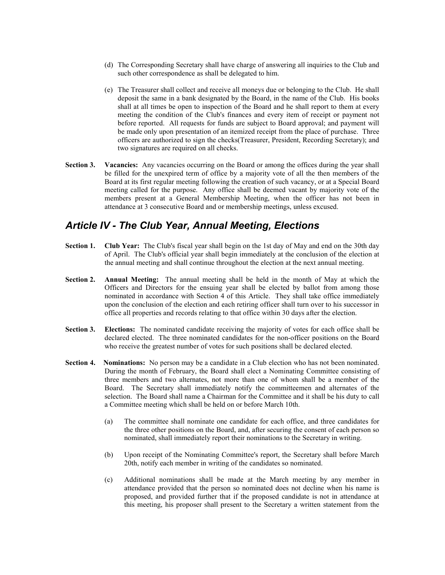- (d) The Corresponding Secretary shall have charge of answering all inquiries to the Club and such other correspondence as shall be delegated to him.
- (e) The Treasurer shall collect and receive all moneys due or belonging to the Club. He shall deposit the same in a bank designated by the Board, in the name of the Club. His books shall at all times be open to inspection of the Board and he shall report to them at every meeting the condition of the Club's finances and every item of receipt or payment not before reported. All requests for funds are subject to Board approval; and payment will be made only upon presentation of an itemized receipt from the place of purchase. Three officers are authorized to sign the checks(Treasurer, President, Recording Secretary); and two signatures are required on all checks.
- **Section 3.** Vacancies: Any vacancies occurring on the Board or among the offices during the year shall be filled for the unexpired term of office by a majority vote of all the then members of the Board at its first regular meeting following the creation of such vacancy, or at a Special Board meeting called for the purpose. Any office shall be deemed vacant by majority vote of the members present at a General Membership Meeting, when the officer has not been in attendance at 3 consecutive Board and or membership meetings, unless excused.

# *Article IV - The Club Year, Annual Meeting, Elections*

- **Section 1. Club Year:** The Club's fiscal year shall begin on the 1st day of May and end on the 30th day of April. The Club's official year shall begin immediately at the conclusion of the election at the annual meeting and shall continue throughout the election at the next annual meeting.
- **Section 2. Annual Meeting:** The annual meeting shall be held in the month of May at which the Officers and Directors for the ensuing year shall be elected by ballot from among those nominated in accordance with Section 4 of this Article. They shall take office immediately upon the conclusion of the election and each retiring officer shall turn over to his successor in office all properties and records relating to that office within 30 days after the election.
- **Section 3.** Elections: The nominated candidate receiving the majority of votes for each office shall be declared elected. The three nominated candidates for the non-officer positions on the Board who receive the greatest number of votes for such positions shall be declared elected.
- **Section 4. ominations:** No person may be a candidate in a Club election who has not been nominated. During the month of February, the Board shall elect a Nominating Committee consisting of three members and two alternates, not more than one of whom shall be a member of the Board. The Secretary shall immediately notify the committeemen and alternates of the selection. The Board shall name a Chairman for the Committee and it shall be his duty to call a Committee meeting which shall be held on or before March 10th.
	- (a) The committee shall nominate one candidate for each office, and three candidates for the three other positions on the Board, and, after securing the consent of each person so nominated, shall immediately report their nominations to the Secretary in writing.
	- (b) Upon receipt of the Nominating Committee's report, the Secretary shall before March 20th, notify each member in writing of the candidates so nominated.
	- (c) Additional nominations shall be made at the March meeting by any member in attendance provided that the person so nominated does not decline when his name is proposed, and provided further that if the proposed candidate is not in attendance at this meeting, his proposer shall present to the Secretary a written statement from the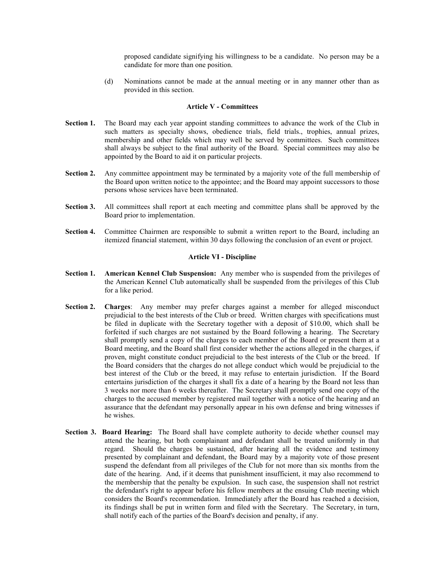proposed candidate signifying his willingness to be a candidate. No person may be a candidate for more than one position.

(d) Nominations cannot be made at the annual meeting or in any manner other than as provided in this section.

#### **Article V - Committees**

- Section 1. The Board may each year appoint standing committees to advance the work of the Club in such matters as specialty shows, obedience trials, field trials., trophies, annual prizes, membership and other fields which may well be served by committees. Such committees shall always be subject to the final authority of the Board. Special committees may also be appointed by the Board to aid it on particular projects.
- **Section 2.** Any committee appointment may be terminated by a majority vote of the full membership of the Board upon written notice to the appointee; and the Board may appoint successors to those persons whose services have been terminated.
- **Section 3.** All committees shall report at each meeting and committee plans shall be approved by the Board prior to implementation.
- **Section 4.** Committee Chairmen are responsible to submit a written report to the Board, including an itemized financial statement, within 30 days following the conclusion of an event or project.

#### **Article VI - Discipline**

- **Section 1. American Kennel Club Suspension:** Any member who is suspended from the privileges of the American Kennel Club automatically shall be suspended from the privileges of this Club for a like period.
- **Section 2. Charges**: Any member may prefer charges against a member for alleged misconduct prejudicial to the best interests of the Club or breed. Written charges with specifications must be filed in duplicate with the Secretary together with a deposit of \$10.00, which shall be forfeited if such charges are not sustained by the Board following a hearing. The Secretary shall promptly send a copy of the charges to each member of the Board or present them at a Board meeting, and the Board shall first consider whether the actions alleged in the charges, if proven, might constitute conduct prejudicial to the best interests of the Club or the breed. If the Board considers that the charges do not allege conduct which would be prejudicial to the best interest of the Club or the breed, it may refuse to entertain jurisdiction. If the Board entertains jurisdiction of the charges it shall fix a date of a hearing by the Board not less than 3 weeks nor more than 6 weeks thereafter. The Secretary shall promptly send one copy of the charges to the accused member by registered mail together with a notice of the hearing and an assurance that the defendant may personally appear in his own defense and bring witnesses if he wishes.
- **Section 3. Board Hearing:** The Board shall have complete authority to decide whether counsel may attend the hearing, but both complainant and defendant shall be treated uniformly in that regard. Should the charges be sustained, after hearing all the evidence and testimony presented by complainant and defendant, the Board may by a majority vote of those present suspend the defendant from all privileges of the Club for not more than six months from the date of the hearing. And, if it deems that punishment insufficient, it may also recommend to the membership that the penalty be expulsion. In such case, the suspension shall not restrict the defendant's right to appear before his fellow members at the ensuing Club meeting which considers the Board's recommendation. Immediately after the Board has reached a decision, its findings shall be put in written form and filed with the Secretary. The Secretary, in turn, shall notify each of the parties of the Board's decision and penalty, if any.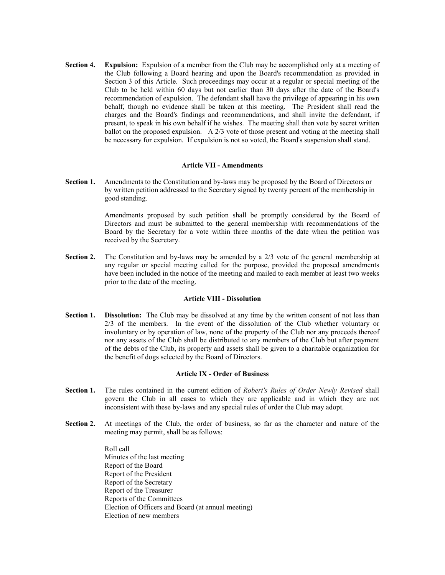**Section 4.** Expulsion: Expulsion of a member from the Club may be accomplished only at a meeting of the Club following a Board hearing and upon the Board's recommendation as provided in Section 3 of this Article. Such proceedings may occur at a regular or special meeting of the Club to be held within 60 days but not earlier than 30 days after the date of the Board's recommendation of expulsion. The defendant shall have the privilege of appearing in his own behalf, though no evidence shall be taken at this meeting. The President shall read the charges and the Board's findings and recommendations, and shall invite the defendant, if present, to speak in his own behalf if he wishes. The meeting shall then vote by secret written ballot on the proposed expulsion. A 2/3 vote of those present and voting at the meeting shall be necessary for expulsion. If expulsion is not so voted, the Board's suspension shall stand.

#### **Article VII - Amendments**

**Section 1.** Amendments to the Constitution and by-laws may be proposed by the Board of Directors or by written petition addressed to the Secretary signed by twenty percent of the membership in good standing.

> Amendments proposed by such petition shall be promptly considered by the Board of Directors and must be submitted to the general membership with recommendations of the Board by the Secretary for a vote within three months of the date when the petition was received by the Secretary.

**Section 2.** The Constitution and by-laws may be amended by a 2/3 vote of the general membership at any regular or special meeting called for the purpose, provided the proposed amendments have been included in the notice of the meeting and mailed to each member at least two weeks prior to the date of the meeting.

#### **Article VIII - Dissolution**

**Section 1. Dissolution:** The Club may be dissolved at any time by the written consent of not less than 2/3 of the members. In the event of the dissolution of the Club whether voluntary or involuntary or by operation of law, none of the property of the Club nor any proceeds thereof nor any assets of the Club shall be distributed to any members of the Club but after payment of the debts of the Club, its property and assets shall be given to a charitable organization for the benefit of dogs selected by the Board of Directors.

### **Article IX - Order of Business**

- Section 1. The rules contained in the current edition of *Robert's Rules of Order Newly Revised* shall govern the Club in all cases to which they are applicable and in which they are not inconsistent with these by-laws and any special rules of order the Club may adopt.
- **Section 2.** At meetings of the Club, the order of business, so far as the character and nature of the meeting may permit, shall be as follows:

 Roll call Minutes of the last meeting Report of the Board Report of the President Report of the Secretary Report of the Treasurer Reports of the Committees Election of Officers and Board (at annual meeting) Election of new members